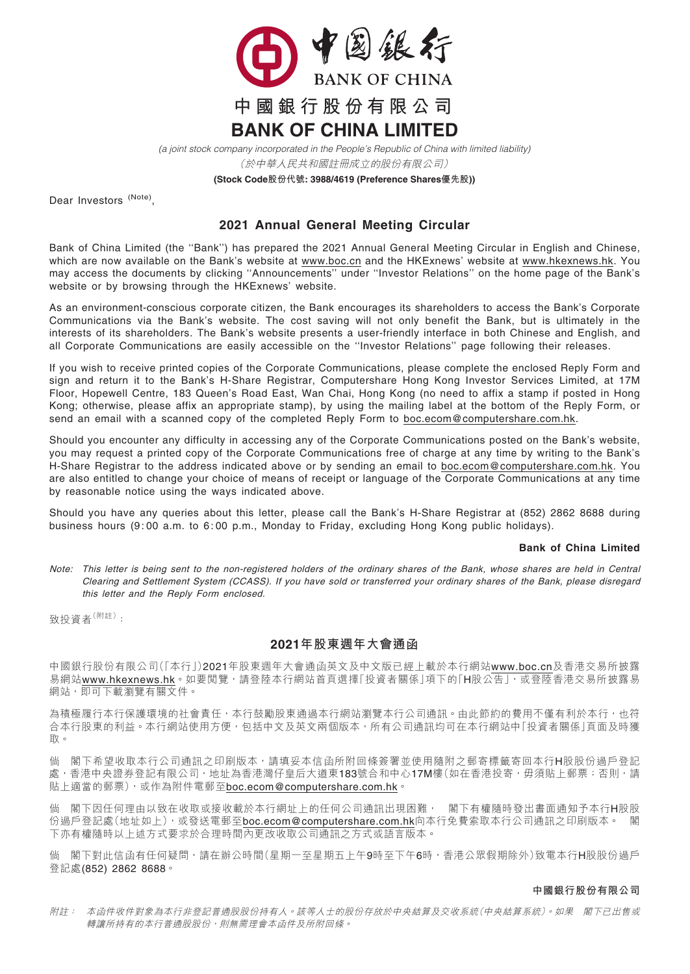

(於中華人民共和國註冊成立的股份有限公司) *(a joint stock company incorporated in the People's Republic of China with limited liability)*

**(Stock Code股份代號: 3988/4619 (Preference Shares優先股))**

Dear Investors (Note)

## 2021 Annual General Meeting Circular

Bank of China Limited (the ''Bank'') has prepared the 2021 Annual General Meeting Circular in English and Chinese, which are now available on the Bank's website at <u>www.boc.cn</u> and the HKExnews' website at <u>www.hkexnews.hk</u>. You may access the documents by clicking ''Announcements'' under ''Investor Relations'' on the home page of the Bank's website or by browsing through the HKExnews' website.

As an environment-conscious corporate citizen, the Bank encourages its shareholders to access the Bank's Corporate Communications via the Bank's website. The cost saving will not only benefit the Bank, but is ultimately in the interests of its shareholders. The Bank's website presents a user-friendly interface in both Chinese and English, and all Corporate Communications are easily accessible on the ''Investor Relations'' page following their releases.

If you wish to receive printed copies of the Corporate Communications, please complete the enclosed Reply Form and sign and return it to the Bank's H-Share Registrar, Computershare Hong Kong Investor Services Limited, at 17M Floor, Hopewell Centre, 183 Queen's Road East, Wan Chai, Hong Kong (no need to affix a stamp if posted in Hong Kong; otherwise, please affix an appropriate stamp), by using the mailing label at the bottom of the Reply Form, or send an email with a scanned copy of the completed Reply Form to boc.ecom@computershare.com.hk.

Should you encounter any difficulty in accessing any of the Corporate Communications posted on the Bank's website, you may request a printed copy of the Corporate Communications free of charge at any time by writing to the Bank's H-Share Registrar to the address indicated above or by sending an email to boc.ecom@computershare.com.hk. You are also entitled to change your choice of means of receipt or language of the Corporate Communications at any time by reasonable notice using the ways indicated above.

Should you have any queries about this letter, please call the Bank's H-Share Registrar at (852) 2862 8688 during business hours (9: 00 a.m. to 6: 00 p.m., Monday to Friday, excluding Hong Kong public holidays).

## Bank of China Limited

Note: This letter is being sent to the non-registered holders of the ordinary shares of the Bank, whose shares are held in Central Clearing and Settlement System (CCASS). If you have sold or transferred your ordinary shares of the Bank, please disregard this letter and the Reply Form enclosed.

致投資者(附<sup>註</sup>):

## 2021年股東週年大會通函

中國銀行股份有限公司(「本行」)2021年股東週年大會通函英文及中文版已經上載於本行網站www.boc.cn及香港交易所披露 易網站www.hkexnews.hk。如要閲覽,請登陸本行網站首頁選擇「投資者關係」項下的「H股公告」,或登陸香港交易所披露易 網站,即可下載瀏覽有關文件。

為積極履行本行保護環境的社會責任,本行鼓勵股東通過本行網站瀏覽本行公司通訊。由此節約的費用不僅有利於本行,也符 合本行股東的利益。本行網站使用方便,包括中文及英文兩個版本,所有公司通訊均可在本行網站中「投資者關係」頁面及時獲 取。

倘 閣下希望收取本行公司通訊之印刷版本,請填妥本信函所附回條簽署並使用隨附之郵寄標籤寄回本行H股股份過戶登記 處,香港中央證券登記有限公司,地址為香港灣仔皇后大道東183號合和中心17M樓(如在香港投寄,毋須貼上郵票;否則,請 貼上適當的郵票),或作為附件電郵至boc.ecom@computershare.com.hk。

倘 閣下因任何理由以致在收取或接收載於本行網址上的任何公司通訊出現困難, 閣下有權隨時發出書面通知予本行H股股 份過戶登記處(地址如上),或發送電郵至boc.ecom@computershare.com.hk向本行免費索取本行公司通訊之印刷版本。 閣 下亦有權隨時以上述方式要求於合理時間內更改收取公司通訊之方式或語言版本。

倘 閣下對此信函有任何疑問,請在辦公時間(星期一至星期五上午9時至下午6時,香港公眾假期除外)致電本行H股股份過戶 登記處(852) 2862 8688。

## 中國銀行股份有限公司

附註: 本函件收件對象為本行非登記普通股股份持有人。該等人士的股份存放於中央結算及交收系統(中央結算系統)。如果 閣下已出售或 轉讓所持有的本行普通股股份,則無需理會本函件及所附回條。